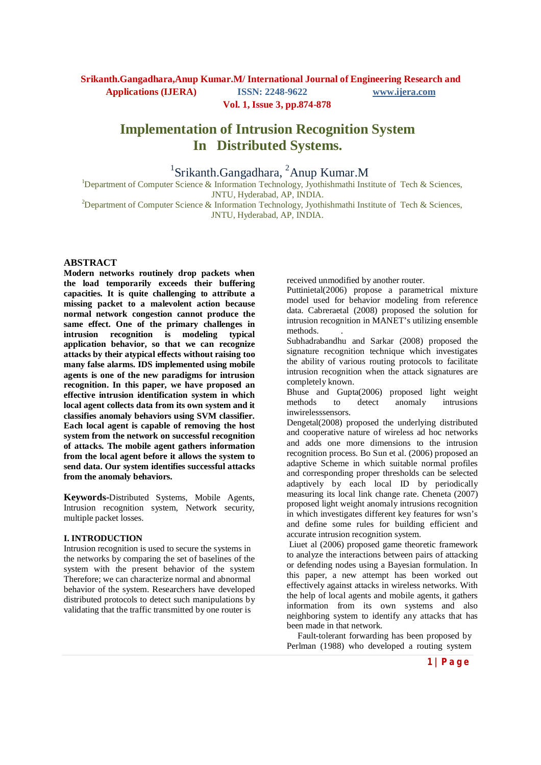**Vol. 1, Issue 3, pp.874-878**

# **Implementation of Intrusion Recognition System In Distributed Systems.**

## <sup>1</sup>Srikanth.Gangadhara,  ${}^{2}$ Anup Kumar.M

<sup>1</sup>Department of Computer Science & Information Technology, Jyothishmathi Institute of Tech & Sciences, JNTU, Hyderabad, AP, INDIA.

<sup>2</sup>Department of Computer Science & Information Technology, Jyothishmathi Institute of Tech & Sciences, JNTU, Hyderabad, AP, INDIA.

#### **ABSTRACT**

**Modern networks routinely drop packets when the load temporarily exceeds their buffering capacities. It is quite challenging to attribute a missing packet to a malevolent action because normal network congestion cannot produce the same effect. One of the primary challenges in intrusion recognition is modeling typical application behavior, so that we can recognize attacks by their atypical effects without raising too many false alarms. IDS implemented using mobile agents is one of the new paradigms for intrusion recognition. In this paper, we have proposed an effective intrusion identification system in which local agent collects data from its own system and it classifies anomaly behaviors using SVM classifier. Each local agent is capable of removing the host system from the network on successful recognition of attacks. The mobile agent gathers information from the local agent before it allows the system to send data. Our system identifies successful attacks from the anomaly behaviors.**

**Keywords-**Distributed Systems, Mobile Agents, Intrusion recognition system, Network security, multiple packet losses.

#### **I. INTRODUCTION**

Intrusion recognition is used to secure the systems in the networks by comparing the set of baselines of the system with the present behavior of the system Therefore; we can characterize normal and abnormal behavior of the system. Researchers have developed distributed protocols to detect such manipulations by validating that the traffic transmitted by one router is

received unmodified by another router.

Puttinietal(2006) propose a parametrical mixture model used for behavior modeling from reference data. Cabreraetal (2008) proposed the solution for intrusion recognition in MANET's utilizing ensemble methods. .

Subhadrabandhu and Sarkar (2008) proposed the signature recognition technique which investigates the ability of various routing protocols to facilitate intrusion recognition when the attack signatures are completely known.

Bhuse and Gupta(2006) proposed light weight methods to detect anomaly intrusions inwirelesssensors.

Dengetal(2008) proposed the underlying distributed and cooperative nature of wireless ad hoc networks and adds one more dimensions to the intrusion recognition process. Bo Sun et al. (2006) proposed an adaptive Scheme in which suitable normal profiles and corresponding proper thresholds can be selected adaptively by each local ID by periodically measuring its local link change rate. Cheneta (2007) proposed light weight anomaly intrusions recognition in which investigates different key features for wsn's and define some rules for building efficient and accurate intrusion recognition system.

Liuet al (2006) proposed game theoretic framework to analyze the interactions between pairs of attacking or defending nodes using a Bayesian formulation. In this paper, a new attempt has been worked out effectively against attacks in wireless networks. With the help of local agents and mobile agents, it gathers information from its own systems and also neighboring system to identify any attacks that has been made in that network.

 Fault-tolerant forwarding has been proposed by Perlman (1988) who developed a routing system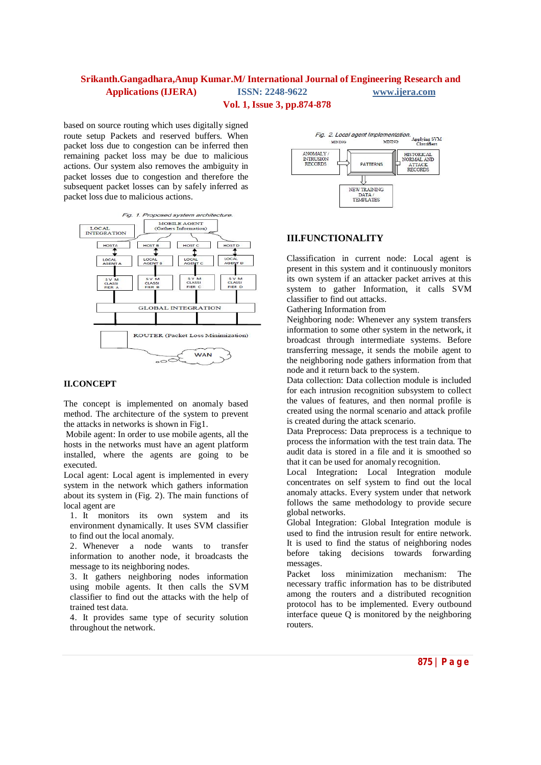## **Vol. 1, Issue 3, pp.874-878**

based on source routing which uses digitally signed route setup Packets and reserved buffers. When packet loss due to congestion can be inferred then remaining packet loss may be due to malicious actions. Our system also removes the ambiguity in packet losses due to congestion and therefore the subsequent packet losses can by safely inferred as packet loss due to malicious actions.



### **II.CONCEPT**

The concept is implemented on anomaly based method. The architecture of the system to prevent the attacks in networks is shown in Fig1.

Mobile agent: In order to use mobile agents, all the hosts in the networks must have an agent platform installed, where the agents are going to be executed.

Local agent: Local agent is implemented in every system in the network which gathers information about its system in (Fig. 2). The main functions of local agent are

1. It monitors its own system and its environment dynamically. It uses SVM classifier to find out the local anomaly.

2. Whenever a node wants to transfer information to another node, it broadcasts the message to its neighboring nodes.

3. It gathers neighboring nodes information using mobile agents. It then calls the SVM classifier to find out the attacks with the help of trained test data.

4. It provides same type of security solution throughout the network.



## **III.FUNCTIONALITY**

Classification in current node: Local agent is present in this system and it continuously monitors its own system if an attacker packet arrives at this system to gather Information, it calls SVM classifier to find out attacks.

Gathering Information from

Neighboring node: Whenever any system transfers information to some other system in the network, it broadcast through intermediate systems. Before transferring message, it sends the mobile agent to the neighboring node gathers information from that node and it return back to the system.

Data collection: Data collection module is included for each intrusion recognition subsystem to collect the values of features, and then normal profile is created using the normal scenario and attack profile is created during the attack scenario.

Data Preprocess: Data preprocess is a technique to process the information with the test train data. The audit data is stored in a file and it is smoothed so that it can be used for anomaly recognition.

Local Integration**:** Local Integration module concentrates on self system to find out the local anomaly attacks. Every system under that network follows the same methodology to provide secure global networks.

Global Integration: Global Integration module is used to find the intrusion result for entire network. It is used to find the status of neighboring nodes before taking decisions towards forwarding messages.

Packet loss minimization mechanism: The necessary traffic information has to be distributed among the routers and a distributed recognition protocol has to be implemented. Every outbound interface queue Q is monitored by the neighboring routers.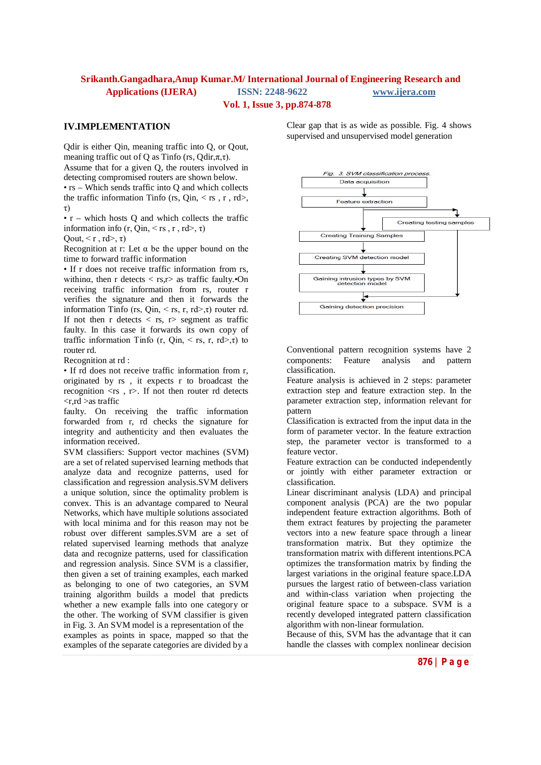#### **Vol. 1, Issue 3, pp.874-878**

### **IV.IMPLEMENTATION**

Qdir is either Qin, meaning traffic into Q, or Qout, meaning traffic out of Q as Tinfo (rs,  $Qdir, \pi, \tau$ ). Assume that for a given Q, the routers involved in detecting compromised routers are shown below.

• rs – Which sends traffic into Q and which collects the traffic information Tinfo (rs, Qin,  $\langle$  rs, r, rd $\rangle$ , τ)

•  $r -$  which hosts O and which collects the traffic information info  $(r, Qin, \le rs, r, rd>, \tau)$ 

Oout,  $\leq r$ ,  $rd$  $>$ ,  $\tau$ )

Recognition at r: Let  $\alpha$  be the upper bound on the time to forward traffic information

• If r does not receive traffic information from rs. withing, then r detects  $\langle$  rs,  $r \rangle$  as traffic faulty.  $\cdot$ On receiving traffic information from rs, router r verifies the signature and then it forwards the information Tinfo (rs, Qin,  $\leq$  rs, r, rd $\geq$ , r) router rd. If not then r detects  $\langle$  rs, r $\rangle$  segment as traffic faulty. In this case it forwards its own copy of traffic information Tinfo (r, Qin,  $\langle$  rs, r, rd $\rangle$ ,  $\tau$ ) to router rd.

Recognition at rd :

• If rd does not receive traffic information from r, originated by rs , it expects r to broadcast the recognition  $\langle rs \rangle$ , r>. If not then router rd detects  $\langle r, rd \rangle$ as traffic

faulty. On receiving the traffic information forwarded from r, rd checks the signature for integrity and authenticity and then evaluates the information received.

SVM classifiers: Support vector machines (SVM) are a set of related supervised learning methods that analyze data and recognize patterns, used for classification and regression analysis.SVM delivers a unique solution, since the optimality problem is convex. This is an advantage compared to Neural Networks, which have multiple solutions associated with local minima and for this reason may not be robust over different samples.SVM are a set of related supervised learning methods that analyze data and recognize patterns, used for classification and regression analysis. Since SVM is a classifier, then given a set of training examples, each marked as belonging to one of two categories, an SVM training algorithm builds a model that predicts whether a new example falls into one category or the other. The working of SVM classifier is given in Fig. 3. An SVM model is a representation of the examples as points in space, mapped so that the examples of the separate categories are divided by a

Clear gap that is as wide as possible. Fig. 4 shows supervised and unsupervised model generation



Conventional pattern recognition systems have 2 components: Feature analysis and pattern classification.

Feature analysis is achieved in 2 steps: parameter extraction step and feature extraction step. In the parameter extraction step, information relevant for pattern

Classification is extracted from the input data in the form of parameter vector. In the feature extraction step, the parameter vector is transformed to a feature vector.

Feature extraction can be conducted independently or jointly with either parameter extraction or classification.

Linear discriminant analysis (LDA) and principal component analysis (PCA) are the two popular independent feature extraction algorithms. Both of them extract features by projecting the parameter vectors into a new feature space through a linear transformation matrix. But they optimize the transformation matrix with different intentions.PCA optimizes the transformation matrix by finding the largest variations in the original feature space.LDA pursues the largest ratio of between-class variation and within-class variation when projecting the original feature space to a subspace. SVM is a recently developed integrated pattern classification algorithm with non-linear formulation.

Because of this, SVM has the advantage that it can handle the classes with complex nonlinear decision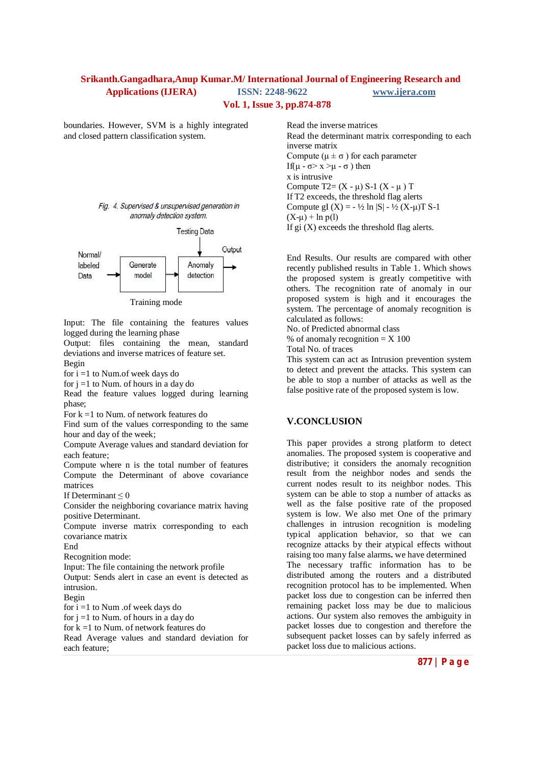#### **Vol. 1, Issue 3, pp.874-878**

boundaries. However, SVM is a highly integrated and closed pattern classification system.





Input: The file containing the features values logged during the learning phase

Output: files containing the mean, standard deviations and inverse matrices of feature set. Begin

for  $i = 1$  to Num.of week days do

for  $j = 1$  to Num. of hours in a day do

Read the feature values logged during learning phase;

For  $k = 1$  to Num. of network features do

Find sum of the values corresponding to the same hour and day of the week;

Compute Average values and standard deviation for each feature;

Compute where n is the total number of features Compute the Determinant of above covariance matrices

If Determinant  $\leq 0$ 

Consider the neighboring covariance matrix having positive Determinant.

Compute inverse matrix corresponding to each covariance matrix

End

Recognition mode:

Input: The file containing the network profile

Output: Sends alert in case an event is detected as intrusion.

Begin

for i =1 to Num .of week days do for  $j = 1$  to Num. of hours in a day do for k =1 to Num. of network features do Read Average values and standard deviation for each feature;

Read the inverse matrices Read the determinant matrix corresponding to each inverse matrix Compute ( $\mu \pm \sigma$ ) for each parameter If(μ - σ> x >μ - σ) then x is intrusive Compute  $T2 = (X - \mu) S - 1 (X - \mu) T$ If T2 exceeds, the threshold flag alerts Compute gI  $(X) = -\frac{1}{2} \ln |S| - \frac{1}{2} (X - \mu) T S - 1$  $(X-u)$  + ln p(l) If  $gi(X)$  exceeds the threshold flag alerts.

End Results. Our results are compared with other recently published results in Table 1. Which shows the proposed system is greatly competitive with others. The recognition rate of anomaly in our proposed system is high and it encourages the system. The percentage of anomaly recognition is calculated as follows:

No. of Predicted abnormal class

% of anomaly recognition  $=$  X 100

Total No. of traces

This system can act as Intrusion prevention system to detect and prevent the attacks. This system can be able to stop a number of attacks as well as the false positive rate of the proposed system is low.

### **V.CONCLUSION**

This paper provides a strong platform to detect anomalies. The proposed system is cooperative and distributive; it considers the anomaly recognition result from the neighbor nodes and sends the current nodes result to its neighbor nodes. This system can be able to stop a number of attacks as well as the false positive rate of the proposed system is low. We also met One of the primary challenges in intrusion recognition is modeling typical application behavior, so that we can recognize attacks by their atypical effects without raising too many false alarms**.** we have determined The necessary traffic information has to be distributed among the routers and a distributed recognition protocol has to be implemented. When packet loss due to congestion can be inferred then remaining packet loss may be due to malicious actions. Our system also removes the ambiguity in packet losses due to congestion and therefore the subsequent packet losses can by safely inferred as packet loss due to malicious actions.